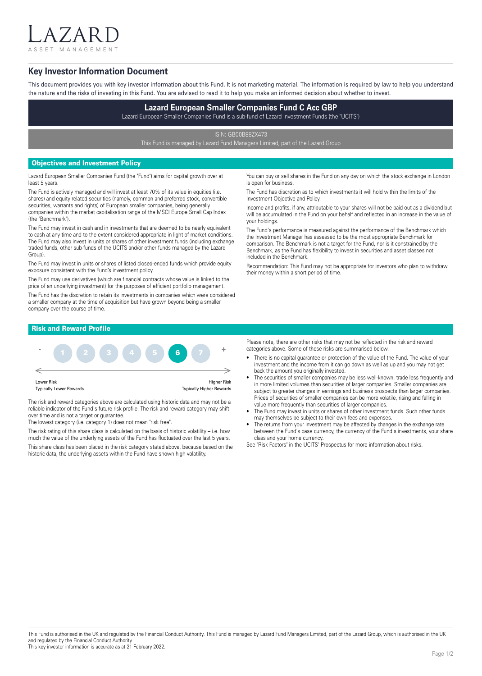ASSET MANAGEMENT

 $7$  A I

# **Key Investor Information Document**

This document provides you with key investor information about this Fund. It is not marketing material. The information is required by law to help you understand the nature and the risks of investing in this Fund. You are advised to read it to help you make an informed decision about whether to invest.

# **Lazard European Smaller Companies Fund C Acc GBP**

Lazard European Smaller Companies Fund is a sub-fund of Lazard Investment Funds (the "UCITS")

ISIN: GB00B88ZX473

This Fund is managed by Lazard Fund Managers Limited, part of the Lazard Group

## Objectives and Investment Policy

Lazard European Smaller Companies Fund (the "Fund") aims for capital growth over at least 5 years.

The Fund is actively managed and will invest at least 70% of its value in equities (i.e. shares) and equity-related securities (namely, common and preferred stock, convertible securities, warrants and rights) of European smaller companies, being generally companies within the market capitalisation range of the MSCI Europe Small Cap Index (the "Benchmark").

The Fund may invest in cash and in investments that are deemed to be nearly equivalent to cash at any time and to the extent considered appropriate in light of market conditions. The Fund may also invest in units or shares of other investment funds (including exchange traded funds, other sub-funds of the UCITS and/or other funds managed by the Lazard Group).

The Fund may invest in units or shares of listed closed-ended funds which provide equity exposure consistent with the Fund's investment policy.

The Fund may use derivatives (which are financial contracts whose value is linked to the price of an underlying investment) for the purposes of efficient portfolio management.

The Fund has the discretion to retain its investments in companies which were considered a smaller company at the time of acquisition but have grown beyond being a smaller company over the course of time.

You can buy or sell shares in the Fund on any day on which the stock exchange in London is open for business.

The Fund has discretion as to which investments it will hold within the limits of the Investment Objective and Policy.

Income and profits, if any, attributable to your shares will not be paid out as a dividend but will be accumulated in the Fund on your behalf and reflected in an increase in the value of your holdings.

The Fund's performance is measured against the performance of the Benchmark which the Investment Manager has assessed to be the most appropriate Benchmark for comparison. The Benchmark is not a target for the Fund, nor is it constrained by the Benchmark, as the Fund has flexibility to invest in securities and asset classes not included in the Benchmark.

Recommendation: This Fund may not be appropriate for investors who plan to withdraw their money within a short period of time.

# Risk and Reward Profile



The risk and reward categories above are calculated using historic data and may not be a reliable indicator of the Fund's future risk profile. The risk and reward category may shift over time and is not a target or guarantee.

The lowest category (i.e. category 1) does not mean "risk free".

The risk rating of this share class is calculated on the basis of historic volatility – i.e. how much the value of the underlying assets of the Fund has fluctuated over the last 5 years.

This share class has been placed in the risk category stated above, because based on the historic data, the underlying assets within the Fund have shown high volatility.

Please note, there are other risks that may not be reflected in the risk and reward categories above. Some of these risks are summarised below.

- There is no capital guarantee or protection of the value of the Fund. The value of your investment and the income from it can go down as well as up and you may not get back the amount you originally invested.
- The securities of smaller companies may be less well-known, trade less frequently and in more limited volumes than securities of larger companies. Smaller companies are subject to greater changes in earnings and business prospects than larger companies. Prices of securities of smaller companies can be more volatile, rising and falling in value more frequently than securities of larger companies.
- The Fund may invest in units or shares of other investment funds. Such other funds may themselves be subject to their own fees and expenses.
- The returns from your investment may be affected by changes in the exchange rate between the Fund's base currency, the currency of the Fund's investments, your share class and your home currency.

See "Risk Factors" in the UCITS' Prospectus for more information about risks.